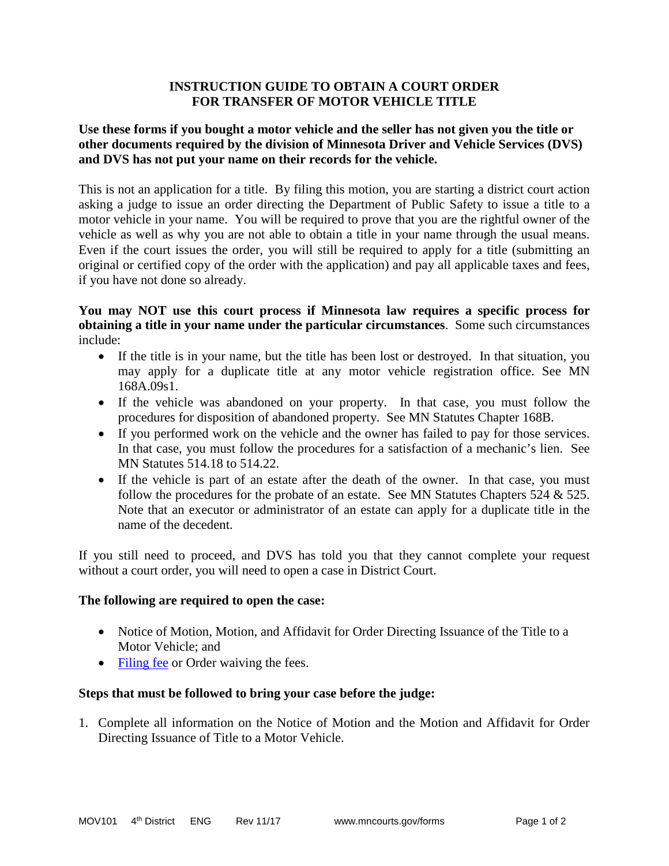# **INSTRUCTION GUIDE TO OBTAIN A COURT ORDER FOR TRANSFER OF MOTOR VEHICLE TITLE**

# **Use these forms if you bought a motor vehicle and the seller has not given you the title or other documents required by the division of Minnesota Driver and Vehicle Services (DVS) and DVS has not put your name on their records for the vehicle.**

This is not an application for a title. By filing this motion, you are starting a district court action asking a judge to issue an order directing the Department of Public Safety to issue a title to a motor vehicle in your name. You will be required to prove that you are the rightful owner of the vehicle as well as why you are not able to obtain a title in your name through the usual means. Even if the court issues the order, you will still be required to apply for a title (submitting an original or certified copy of the order with the application) and pay all applicable taxes and fees, if you have not done so already.

## **You may NOT use this court process if Minnesota law requires a specific process for obtaining a title in your name under the particular circumstances**. Some such circumstances include:

- If the title is in your name, but the title has been lost or destroyed. In that situation, you may apply for a duplicate title at any motor vehicle registration office. See MN 168A.09s1.
- If the vehicle was abandoned on your property. In that case, you must follow the procedures for disposition of abandoned property. See MN Statutes Chapter 168B.
- If you performed work on the vehicle and the owner has failed to pay for those services. In that case, you must follow the procedures for a satisfaction of a mechanic's lien. See MN Statutes 514.18 to 514.22.
- If the vehicle is part of an estate after the death of the owner. In that case, you must follow the procedures for the probate of an estate. See MN Statutes Chapters 524 & 525. Note that an executor or administrator of an estate can apply for a duplicate title in the name of the decedent.

If you still need to proceed, and DVS has told you that they cannot complete your request without a court order, you will need to open a case in District Court.

### **The following are required to open the case:**

- Notice of Motion, Motion, and Affidavit for Order Directing Issuance of the Title to a Motor Vehicle; and
- [Filing fee](http://www.mncourts.gov/Help-Topics/Court-Fees.aspx) or Order waiving the fees.

### **Steps that must be followed to bring your case before the judge:**

1. Complete all information on the Notice of Motion and the Motion and Affidavit for Order Directing Issuance of Title to a Motor Vehicle.